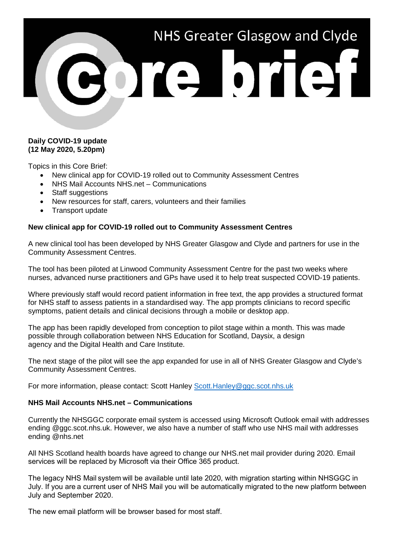

## **Daily COVID-19 update (12 May 2020, 5.20pm)**

Topics in this Core Brief:

- New clinical app for COVID-19 rolled out to Community Assessment Centres
- NHS Mail Accounts NHS.net Communications
- Staff suggestions
- New resources for staff, carers, volunteers and their families
- Transport update

# **New clinical app for COVID-19 rolled out to Community Assessment Centres**

A new clinical tool has been developed by NHS Greater Glasgow and Clyde and partners for use in the Community Assessment Centres.

The tool has been piloted at Linwood Community Assessment Centre for the past two weeks where nurses, advanced nurse practitioners and GPs have used it to help treat suspected COVID-19 patients.

Where previously staff would record patient information in free text, the app provides a structured format for NHS staff to assess patients in a standardised way. The app prompts clinicians to record specific symptoms, patient details and clinical decisions through a mobile or desktop app.

The app has been rapidly developed from conception to pilot stage within a month. This was made possible through collaboration between NHS Education for Scotland, Daysix, a design agency and the Digital Health and Care Institute.

The next stage of the pilot will see the app expanded for use in all of NHS Greater Glasgow and Clyde's Community Assessment Centres.

For more information, please contact: Scott Hanley [Scott.Hanley@ggc.scot.nhs.uk](mailto:Scott.Hanley@ggc.scot.nhs.uk)

### **NHS Mail Accounts NHS.net – Communications**

Currently the NHSGGC corporate email system is accessed using Microsoft Outlook email with addresses ending @ggc.scot.nhs.uk. However, we also have a number of staff who use NHS mail with addresses ending @nhs.net

All NHS Scotland health boards have agreed to change our NHS.net mail provider during 2020. Email services will be replaced by Microsoft via their Office 365 product.  

The legacy NHS Mail system will be available until late 2020, with migration starting within NHSGGC in July. If you are a current user of NHS Mail you will be automatically migrated to the new platform between July and September 2020.   

The new email platform will be browser based for most staff.